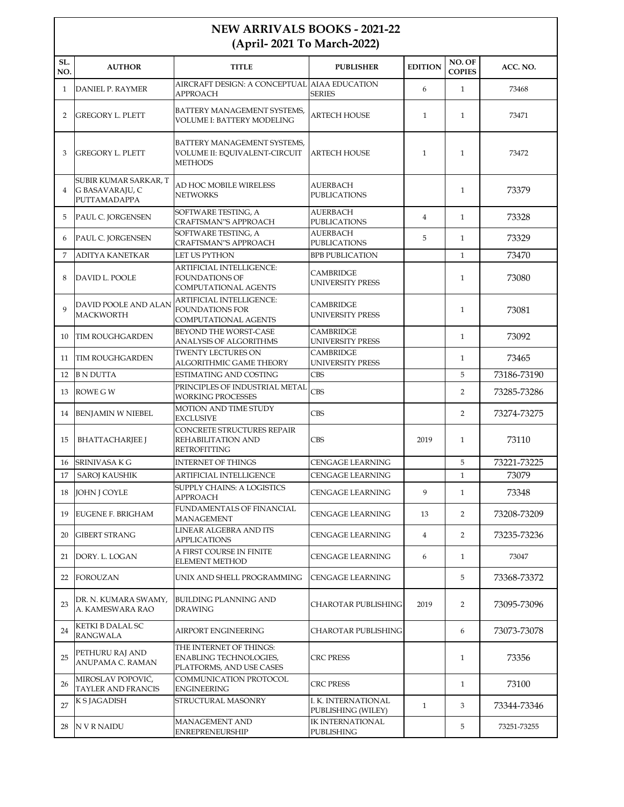## **NEW ARRIVALS BOOKS - 2021-22 (April- 2021 To March-2022)**

| SL.<br>NO.     | <b>AUTHOR</b>                                            | <b>TITLE</b>                                                                         | <b>PUBLISHER</b>                            | <b>EDITION</b> | NO. OF<br><b>COPIES</b> | ACC. NO.    |
|----------------|----------------------------------------------------------|--------------------------------------------------------------------------------------|---------------------------------------------|----------------|-------------------------|-------------|
| $\mathbf{1}$   | <b>DANIEL P. RAYMER</b>                                  | AIRCRAFT DESIGN: A CONCEPTUAL AIAA EDUCATION<br><b>APPROACH</b>                      | <b>SERIES</b>                               | 6              | $\mathbf{1}$            | 73468       |
| 2              | <b>GREGORY L. PLETT</b>                                  | BATTERY MANAGEMENT SYSTEMS,<br>VOLUME I: BATTERY MODELING                            | <b>ARTECH HOUSE</b>                         | $\mathbf{1}$   | $\mathbf{1}$            | 73471       |
| 3              | <b>GREGORY L. PLETT</b>                                  | BATTERY MANAGEMENT SYSTEMS,<br>VOLUME II: EQUIVALENT-CIRCUIT<br><b>METHODS</b>       | <b>ARTECH HOUSE</b>                         | $\mathbf{1}$   | $\mathbf{1}$            | 73472       |
| $\overline{4}$ | SUBIR KUMAR SARKAR, T<br>G BASAVARAJU, C<br>PUTTAMADAPPA | AD HOC MOBILE WIRELESS<br><b>NETWORKS</b>                                            | AUERBACH<br><b>PUBLICATIONS</b>             |                | $\mathbf{1}$            | 73379       |
| 5              | PAUL C. JORGENSEN                                        | SOFTWARE TESTING, A<br>CRAFTSMAN''S APPROACH                                         | <b>AUERBACH</b><br><b>PUBLICATIONS</b>      | $\overline{4}$ | $\mathbf{1}$            | 73328       |
| 6              | PAUL C. JORGENSEN                                        | SOFTWARE TESTING, A<br>CRAFTSMAN''S APPROACH                                         | AUERBACH<br><b>PUBLICATIONS</b>             | 5              | $\mathbf{1}$            | 73329       |
| 7              | <b>ADITYA KANETKAR</b>                                   | LET US PYTHON                                                                        | <b>BPB PUBLICATION</b>                      |                | $\mathbf{1}$            | 73470       |
| 8              | DAVID L. POOLE                                           | <b>ARTIFICIAL INTELLIGENCE:</b><br><b>FOUNDATIONS OF</b><br>COMPUTATIONAL AGENTS     | <b>CAMBRIDGE</b><br><b>UNIVERSITY PRESS</b> |                | $\mathbf{1}$            | 73080       |
| 9              | DAVID POOLE AND ALAN<br><b>MACKWORTH</b>                 | <b>ARTIFICIAL INTELLIGENCE:</b><br><b>FOUNDATIONS FOR</b><br>COMPUTATIONAL AGENTS    | <b>CAMBRIDGE</b><br>UNIVERSITY PRESS        |                | $\mathbf{1}$            | 73081       |
| 10             | <b>TIM ROUGHGARDEN</b>                                   | BEYOND THE WORST-CASE<br>ANALYSIS OF ALGORITHMS                                      | <b>CAMBRIDGE</b><br>UNIVERSITY PRESS        |                | $\mathbf{1}$            | 73092       |
| 11             | <b>TIM ROUGHGARDEN</b>                                   | <b>TWENTY LECTURES ON</b><br>ALGORITHMIC GAME THEORY                                 | <b>CAMBRIDGE</b><br><b>UNIVERSITY PRESS</b> |                | $\mathbf{1}$            | 73465       |
| 12             | <b>B N DUTTA</b>                                         | ESTIMATING AND COSTING                                                               | <b>CBS</b>                                  |                | 5                       | 73186-73190 |
| 13             | ROWE G W                                                 | PRINCIPLES OF INDUSTRIAL METAL<br><b>WORKING PROCESSES</b>                           | <b>CBS</b>                                  |                | $\overline{2}$          | 73285-73286 |
| 14             | <b>BENJAMIN W NIEBEL</b>                                 | <b>MOTION AND TIME STUDY</b><br><b>EXCLUSIVE</b>                                     | <b>CBS</b>                                  |                | $\overline{2}$          | 73274-73275 |
| 15             | <b>BHATTACHARJEE J</b>                                   | CONCRETE STRUCTURES REPAIR<br>REHABILITATION AND<br><b>RETROFITTING</b>              | <b>CBS</b>                                  | 2019           | $\mathbf{1}$            | 73110       |
| 16             | <b>SRINIVASA K G</b>                                     | <b>INTERNET OF THINGS</b>                                                            | CENGAGE LEARNING                            |                | 5                       | 73221-73225 |
| 17             | <b>SAROJ KAUSHIK</b>                                     | ARTIFICIAL INTELLIGENCE                                                              | <b>CENGAGE LEARNING</b>                     |                | $\mathbf{1}$            | 73079       |
| 18             | <b>JOHN J COYLE</b>                                      | <b>SUPPLY CHAINS: A LOGISTICS</b><br><b>APPROACH</b>                                 | <b>CENGAGE LEARNING</b>                     | 9              | $\mathbf{1}$            | 73348       |
| 19             | <b>EUGENE F. BRIGHAM</b>                                 | FUNDAMENTALS OF FINANCIAL<br><b>MANAGEMENT</b>                                       | CENGAGE LEARNING                            | 13             | 2                       | 73208-73209 |
| 20             | <b>GIBERT STRANG</b>                                     | LINEAR ALGEBRA AND ITS<br><b>APPLICATIONS</b>                                        | <b>CENGAGE LEARNING</b>                     | $\overline{4}$ | $\overline{2}$          | 73235-73236 |
| 21             | DORY. L. LOGAN                                           | A FIRST COURSE IN FINITE<br><b>ELEMENT METHOD</b>                                    | CENGAGE LEARNING                            | 6              | $\mathbf{1}$            | 73047       |
| 22             | FOROUZAN                                                 | UNIX AND SHELL PROGRAMMING                                                           | CENGAGE LEARNING                            |                | 5                       | 73368-73372 |
| 23             | DR. N. KUMARA SWAMY,<br>A. KAMESWARA RAO                 | <b>BUILDING PLANNING AND</b><br><b>DRAWING</b>                                       | <b>CHAROTAR PUBLISHING</b>                  | 2019           | 2                       | 73095-73096 |
| 24             | <b>KETKI B DALAL SC</b><br><b>RANGWALA</b>               | AIRPORT ENGINEERING                                                                  | CHAROTAR PUBLISHING                         |                | 6                       | 73073-73078 |
| 25             | PETHURU RAJ AND<br>ANUPAMA C. RAMAN                      | THE INTERNET OF THINGS:<br><b>ENABLING TECHNOLOGIES,</b><br>PLATFORMS, AND USE CASES | <b>CRC PRESS</b>                            |                | $\mathbf{1}$            | 73356       |
| 26             | MIROSLAV POPOVIĆ,<br>TAYLER AND FRANCIS                  | COMMUNICATION PROTOCOL<br><b>ENGINEERING</b>                                         | <b>CRC PRESS</b>                            |                | $\mathbf{1}$            | 73100       |
| 27             | K S JAGADISH                                             | STRUCTURAL MASONRY                                                                   | I. K. INTERNATIONAL<br>PUBLISHING (WILEY)   | $\mathbf{1}$   | 3                       | 73344-73346 |
| 28             | <b>NVRNAIDU</b>                                          | MANAGEMENT AND<br><b>ENREPRENEURSHIP</b>                                             | <b>IK INTERNATIONAL</b><br>PUBLISHING       |                | 5                       | 73251-73255 |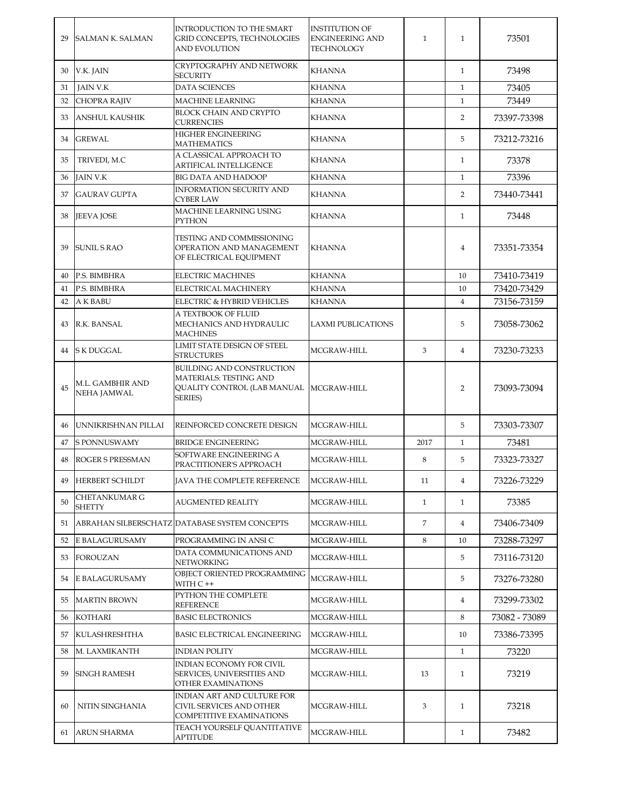| 29 | <b>SALMAN K. SALMAN</b>                | INTRODUCTION TO THE SMART<br><b>GRID CONCEPTS. TECHNOLOGIES</b><br><b>AND EVOLUTION</b>                                           | <b>INSTITUTION OF</b><br><b>ENGINEERING AND</b><br><b>TECHNOLOGY</b> | $\mathbf{1}$ | $\mathbf{1}$   | 73501         |
|----|----------------------------------------|-----------------------------------------------------------------------------------------------------------------------------------|----------------------------------------------------------------------|--------------|----------------|---------------|
| 30 | V.K. JAIN                              | <b>CRYPTOGRAPHY AND NETWORK</b><br><b>SECURITY</b>                                                                                | <b>KHANNA</b>                                                        |              | $\mathbf{1}$   | 73498         |
| 31 | <b>JAIN V.K</b>                        | <b>DATA SCIENCES</b>                                                                                                              | <b>KHANNA</b>                                                        |              | $\mathbf{1}$   | 73405         |
| 32 | <b>CHOPRA RAJIV</b>                    | <b>MACHINE LEARNING</b>                                                                                                           | <b>KHANNA</b>                                                        |              | $\mathbf{1}$   | 73449         |
| 33 | <b>ANSHUL KAUSHIK</b>                  | BLOCK CHAIN AND CRYPTO<br><b>CURRENCIES</b>                                                                                       | KHANNA                                                               |              | $\overline{2}$ | 73397-73398   |
| 34 | <b>GREWAL</b>                          | <b>HIGHER ENGINEERING</b><br><b>MATHEMATICS</b>                                                                                   | <b>KHANNA</b>                                                        |              | 5              | 73212-73216   |
| 35 | TRIVEDI, M.C                           | A CLASSICAL APPROACH TO<br><b>ARTIFICAL INTELLIGENCE</b>                                                                          | KHANNA                                                               |              | $\mathbf{1}$   | 73378         |
| 36 | <b>JAIN V.K</b>                        | <b>BIG DATA AND HADOOP</b>                                                                                                        | <b>KHANNA</b>                                                        |              | $\mathbf{1}$   | 73396         |
| 37 | <b>GAURAV GUPTA</b>                    | <b>INFORMATION SECURITY AND</b><br><b>CYBER LAW</b>                                                                               | <b>KHANNA</b>                                                        |              | $\overline{2}$ | 73440-73441   |
| 38 | <b>JEEVA JOSE</b>                      | MACHINE LEARNING USING<br>PYTHON                                                                                                  | <b>KHANNA</b>                                                        |              | $\mathbf{1}$   | 73448         |
| 39 | <b>SUNIL S RAO</b>                     | TESTING AND COMMISSIONING<br>OPERATION AND MANAGEMENT<br>OF ELECTRICAL EQUIPMENT                                                  | <b>KHANNA</b>                                                        |              | $\overline{4}$ | 73351-73354   |
| 40 | P.S. BIMBHRA                           | <b>ELECTRIC MACHINES</b>                                                                                                          | <b>KHANNA</b>                                                        |              | 10             | 73410-73419   |
| 41 | P.S. BIMBHRA                           | ELECTRICAL MACHINERY                                                                                                              | <b>KHANNA</b>                                                        |              | 10             | 73420-73429   |
| 42 | <b>AK BABU</b>                         | ELECTRIC & HYBRID VEHICLES                                                                                                        | KHANNA                                                               |              | $\overline{4}$ | 73156-73159   |
| 43 | R.K. BANSAL                            | A TEXTBOOK OF FLUID<br>MECHANICS AND HYDRAULIC<br><b>MACHINES</b>                                                                 | <b>LAXMI PUBLICATIONS</b>                                            |              | 5              | 73058-73062   |
| 44 | S K DUGGAL                             | LIMIT STATE DESIGN OF STEEL<br><b>STRUCTURES</b>                                                                                  | MCGRAW-HILL                                                          | 3            | $\overline{4}$ | 73230-73233   |
| 45 | M.L. GAMBHIR AND<br><b>NEHA JAMWAL</b> | <b>BUILDING AND CONSTRUCTION</b><br><b>MATERIALS: TESTING AND</b><br>QUALITY CONTROL (LAB MANUAL   MCGRAW-HILL<br><b>SERIES</b> ) |                                                                      |              | $\overline{2}$ | 73093-73094   |
| 46 | UNNIKRISHNAN PILLAI                    | REINFORCED CONCRETE DESIGN                                                                                                        | MCGRAW-HILL                                                          |              | 5              | 73303-73307   |
| 47 | <b>S PONNUSWAMY</b>                    | <b>BRIDGE ENGINEERING</b>                                                                                                         | MCGRAW-HILL                                                          | 2017         | $\mathbf{1}$   | 73481         |
| 48 | <b>ROGER S PRESSMAN</b>                | SOFTWARE ENGINEERING A<br>PRACTITIONER'S APPROACH                                                                                 | MCGRAW-HILL                                                          | 8            | 5              | 73323-73327   |
| 49 | HERBERT SCHILDT                        | <b>JAVA THE COMPLETE REFERENCE</b>                                                                                                | MCGRAW-HILL                                                          | 11           | 4              | 73226-73229   |
| 50 | <b>CHETANKUMAR G</b><br><b>SHETTY</b>  | AUGMENTED REALITY                                                                                                                 | MCGRAW-HILL                                                          | $\mathbf{1}$ | $\mathbf{1}$   | 73385         |
| 51 |                                        | ABRAHAN SILBERSCHATZ DATABASE SYSTEM CONCEPTS                                                                                     | MCGRAW-HILL                                                          | 7            | 4              | 73406-73409   |
| 52 | E BALAGURUSAMY                         | PROGRAMMING IN ANSI C                                                                                                             | MCGRAW-HILL                                                          | 8            | 10             | 73288-73297   |
| 53 | <b>FOROUZAN</b>                        | DATA COMMUNICATIONS AND<br>NETWORKING                                                                                             | MCGRAW-HILL                                                          |              | 5              | 73116-73120   |
| 54 | E BALAGURUSAMY                         | OBJECT ORIENTED PROGRAMMING<br>WITH C ++                                                                                          | MCGRAW-HILL                                                          |              | 5              | 73276-73280   |
| 55 | <b>MARTIN BROWN</b>                    | PYTHON THE COMPLETE<br><b>REFERENCE</b>                                                                                           | MCGRAW-HILL                                                          |              | 4              | 73299-73302   |
| 56 | <b>KOTHARI</b>                         | <b>BASIC ELECTRONICS</b>                                                                                                          | MCGRAW-HILL                                                          |              | 8              | 73082 - 73089 |
| 57 | <b>KULASHRESHTHA</b>                   | <b>BASIC ELECTRICAL ENGINEERING</b>                                                                                               | MCGRAW-HILL                                                          |              | 10             | 73386-73395   |
| 58 | M. LAXMIKANTH                          | <b>INDIAN POLITY</b>                                                                                                              | MCGRAW-HILL                                                          |              | $\mathbf{1}$   | 73220         |
| 59 | <b>SINGH RAMESH</b>                    | INDIAN ECONOMY FOR CIVIL<br>SERVICES, UNIVERSITIES AND<br>OTHER EXAMINATIONS                                                      | MCGRAW-HILL                                                          | 13           | $\mathbf{1}$   | 73219         |
| 60 | NITIN SINGHANIA                        | INDIAN ART AND CULTURE FOR<br>CIVIL SERVICES AND OTHER<br><b>COMPETITIVE EXAMINATIONS</b>                                         | MCGRAW-HILL                                                          | 3            | $\mathbf{1}$   | 73218         |
|    | 61 ARUN SHARMA                         | TEACH YOURSELF QUANTITATIVE<br>APTITUDE                                                                                           | MCGRAW-HILL                                                          |              | $\mathbf{1}$   | 73482         |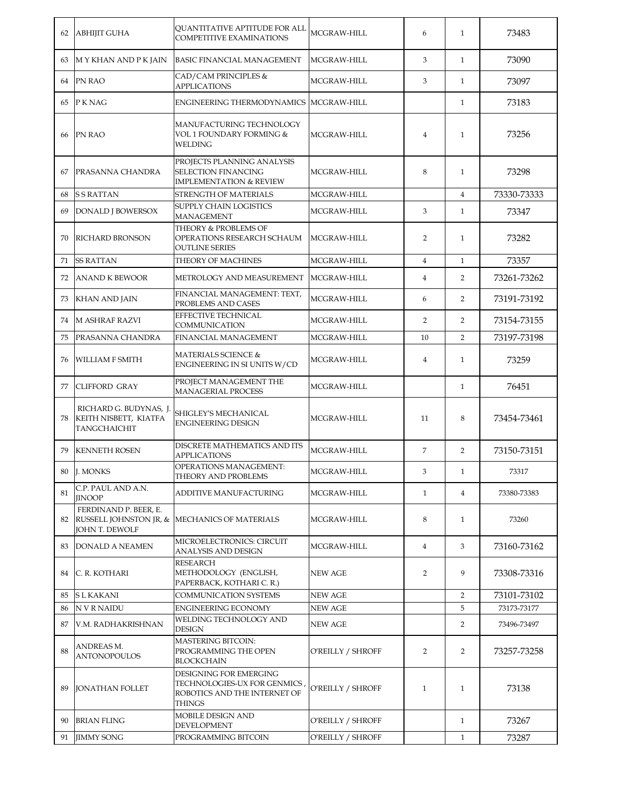| 62 | <b>ABHIJIT GUHA</b>                                                    | QUANTITATIVE APTITUDE FOR ALL<br><b>COMPETITIVE EXAMINATIONS</b>                                       | MCGRAW-HILL       | 6              | $\mathbf{1}$   | 73483       |
|----|------------------------------------------------------------------------|--------------------------------------------------------------------------------------------------------|-------------------|----------------|----------------|-------------|
| 63 | M Y KHAN AND P K JAIN                                                  | <b>BASIC FINANCIAL MANAGEMENT</b>                                                                      | MCGRAW-HILL       | 3              | $\mathbf{1}$   | 73090       |
| 64 | PN RAO                                                                 | CAD/CAM PRINCIPLES &<br><b>APPLICATIONS</b>                                                            | MCGRAW-HILL       | 3              | $\mathbf{1}$   | 73097       |
| 65 | P K NAG                                                                | ENGINEERING THERMODYNAMICS MCGRAW-HILL                                                                 |                   |                | $\mathbf{1}$   | 73183       |
| 66 | PN RAO                                                                 | MANUFACTURING TECHNOLOGY<br>VOL 1 FOUNDARY FORMING &<br>WELDING                                        | MCGRAW-HILL       | $\overline{4}$ | $\mathbf{1}$   | 73256       |
| 67 | PRASANNA CHANDRA                                                       | PROJECTS PLANNING ANALYSIS<br><b>SELECTION FINANCING</b><br><b>IMPLEMENTATION &amp; REVIEW</b>         | MCGRAW-HILL       | 8              | $\mathbf{1}$   | 73298       |
| 68 | <b>SSRATTAN</b>                                                        | STRENGTH OF MATERIALS                                                                                  | MCGRAW-HILL       |                | $\overline{4}$ | 73330-73333 |
| 69 | <b>DONALD J BOWERSOX</b>                                               | SUPPLY CHAIN LOGISTICS<br><b>MANAGEMENT</b>                                                            | MCGRAW-HILL       | 3              | $\mathbf{1}$   | 73347       |
| 70 | <b>RICHARD BRONSON</b>                                                 | THEORY & PROBLEMS OF<br>OPERATIONS RESEARCH SCHAUM<br><b>OUTLINE SERIES</b>                            | MCGRAW-HILL       | $\overline{2}$ | $\mathbf{1}$   | 73282       |
| 71 | <b>SS RATTAN</b>                                                       | THEORY OF MACHINES                                                                                     | MCGRAW-HILL       | $\overline{4}$ | $\mathbf{1}$   | 73357       |
| 72 | <b>ANAND K BEWOOR</b>                                                  | METROLOGY AND MEASUREMENT                                                                              | MCGRAW-HILL       | $\overline{4}$ | $\overline{2}$ | 73261-73262 |
| 73 | <b>KHAN AND JAIN</b>                                                   | FINANCIAL MANAGEMENT: TEXT,<br>PROBLEMS AND CASES                                                      | MCGRAW-HILL       | 6              | $\overline{2}$ | 73191-73192 |
| 74 | <b>M ASHRAF RAZVI</b>                                                  | EFFECTIVE TECHNICAL<br>COMMUNICATION                                                                   | MCGRAW-HILL       | $\overline{2}$ | $\overline{2}$ | 73154-73155 |
| 75 | PRASANNA CHANDRA                                                       | FINANCIAL MANAGEMENT                                                                                   | MCGRAW-HILL       | 10             | $\overline{2}$ | 73197-73198 |
| 76 | <b>WILLIAM F SMITH</b>                                                 | MATERIALS SCIENCE &<br>ENGINEERING IN SI UNITS W/CD                                                    | MCGRAW-HILL       | $\overline{4}$ | $\mathbf{1}$   | 73259       |
| 77 | <b>CLIFFORD GRAY</b>                                                   | PROJECT MANAGEMENT THE<br><b>MANAGERIAL PROCESS</b>                                                    | MCGRAW-HILL       |                | $\mathbf{1}$   | 76451       |
| 78 | RICHARD G. BUDYNAS, J.<br>KEITH NISBETT, KIATFA<br><b>TANGCHAICHIT</b> | SHIGLEY'S MECHANICAL<br><b>ENGINEERING DESIGN</b>                                                      | MCGRAW-HILL       | 11             | 8              | 73454-73461 |
| 79 | <b>KENNETH ROSEN</b>                                                   | DISCRETE MATHEMATICS AND ITS<br><b>APPLICATIONS</b>                                                    | MCGRAW-HILL       | $\overline{7}$ | $\overline{2}$ | 73150-73151 |
| 80 | J. MONKS                                                               | <b>OPERATIONS MANAGEMENT:</b><br>THEORY AND PROBLEMS                                                   | MCGRAW-HILL       | 3              | $\mathbf{1}$   | 73317       |
| 81 | C.P. PAUL AND A.N.<br><b>IINOOP</b>                                    | ADDITIVE MANUFACTURING                                                                                 | MCGRAW-HILL       | $\mathbf{1}$   | $\overline{4}$ | 73380-73383 |
| 82 | FERDINAND P. BEER, E.<br>JOHN T. DEWOLF                                | RUSSELL JOHNSTON JR, & MECHANICS OF MATERIALS                                                          | MCGRAW-HILL       | 8              | $\mathbf{1}$   | 73260       |
| 83 | <b>DONALD A NEAMEN</b>                                                 | MICROELECTRONICS: CIRCUIT<br>ANALYSIS AND DESIGN                                                       | MCGRAW-HILL       | $\overline{4}$ | 3              | 73160-73162 |
| 84 | C. R. KOTHARI                                                          | RESEARCH<br>METHODOLOGY (ENGLISH,<br>PAPERBACK, KOTHARI C. R.)                                         | <b>NEW AGE</b>    | $\overline{2}$ | 9              | 73308-73316 |
| 85 | S L KAKANI                                                             | COMMUNICATION SYSTEMS                                                                                  | <b>NEW AGE</b>    |                | $\overline{2}$ | 73101-73102 |
| 86 | <b>NVRNAIDU</b>                                                        | <b>ENGINEERING ECONOMY</b>                                                                             | <b>NEW AGE</b>    |                | 5              | 73173-73177 |
| 87 | V.M. RADHAKRISHNAN                                                     | WELDING TECHNOLOGY AND<br><b>DESIGN</b>                                                                | NEW AGE           |                | $\overline{2}$ | 73496-73497 |
| 88 | ANDREAS M.<br><b>ANTONOPOULOS</b>                                      | <b>MASTERING BITCOIN:</b><br>PROGRAMMING THE OPEN<br><b>BLOCKCHAIN</b>                                 | O'REILLY / SHROFF | $\overline{2}$ | $\overline{2}$ | 73257-73258 |
| 89 | <b>JONATHAN FOLLET</b>                                                 | DESIGNING FOR EMERGING<br>TECHNOLOGIES-UX FOR GENMICS<br>ROBOTICS AND THE INTERNET OF<br><b>THINGS</b> | O'REILLY / SHROFF | $\mathbf{1}$   | $\mathbf{1}$   | 73138       |
| 90 | <b>BRIAN FLING</b>                                                     | MOBILE DESIGN AND<br>DEVELOPMENT                                                                       | O'REILLY / SHROFF |                | $\mathbf{1}$   | 73267       |
| 91 | <b>JIMMY SONG</b>                                                      | PROGRAMMING BITCOIN                                                                                    | O'REILLY / SHROFF |                | $\mathbf{1}$   | 73287       |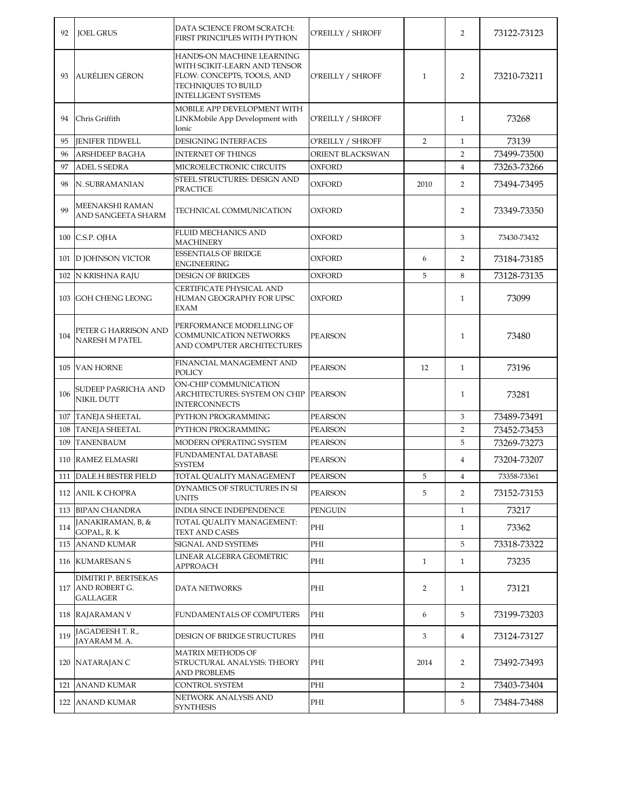| 92  | <b>JOEL GRUS</b>                                             | DATA SCIENCE FROM SCRATCH:<br>FIRST PRINCIPLES WITH PYTHON                                                                                   | O'REILLY / SHROFF |                | $\overline{2}$ | 73122-73123 |
|-----|--------------------------------------------------------------|----------------------------------------------------------------------------------------------------------------------------------------------|-------------------|----------------|----------------|-------------|
| 93  | <b>AURÉLIEN GÉRON</b>                                        | HANDS-ON MACHINE LEARNING<br>WITH SCIKIT-LEARN AND TENSOR<br>FLOW: CONCEPTS, TOOLS, AND<br>TECHNIQUES TO BUILD<br><b>INTELLIGENT SYSTEMS</b> | O'REILLY / SHROFF | $\mathbf{1}$   | $\overline{2}$ | 73210-73211 |
| 94  | Chris Griffith                                               | MOBILE APP DEVELOPMENT WITH<br>LINKMobile App Development with<br>Ionic                                                                      | O'REILLY / SHROFF |                | $\mathbf{1}$   | 73268       |
| 95  | <b>JENIFER TIDWELL</b>                                       | <b>DESIGNING INTERFACES</b>                                                                                                                  | O'REILLY / SHROFF | $\overline{2}$ | $\mathbf{1}$   | 73139       |
| 96  | ARSHDEEP BAGHA                                               | <b>INTERNET OF THINGS</b>                                                                                                                    | ORIENT BLACKSWAN  |                | $\overline{2}$ | 73499-73500 |
| 97  | <b>ADEL S SEDRA</b>                                          | MICROELECTRONIC CIRCUITS                                                                                                                     | <b>OXFORD</b>     |                | $\overline{4}$ | 73263-73266 |
| 98  | N. SUBRAMANIAN                                               | STEEL STRUCTURES: DESIGN AND<br>PRACTICE                                                                                                     | OXFORD            | 2010           | $\overline{2}$ | 73494-73495 |
| 99  | MEENAKSHI RAMAN<br>AND SANGEETA SHARM                        | TECHNICAL COMMUNICATION                                                                                                                      | OXFORD            |                | $\overline{2}$ | 73349-73350 |
|     | 100 C.S.P. OJHA                                              | <b>FLUID MECHANICS AND</b><br><b>MACHINERY</b>                                                                                               | <b>OXFORD</b>     |                | 3              | 73430-73432 |
|     | 101 D JOHNSON VICTOR                                         | <b>ESSENTIALS OF BRIDGE</b><br><b>ENGINEERING</b>                                                                                            | OXFORD            | 6              | 2              | 73184-73185 |
| 102 | N KRISHNA RAJU                                               | <b>DESIGN OF BRIDGES</b>                                                                                                                     | OXFORD            | 5              | 8              | 73128-73135 |
| 103 | <b>GOH CHENG LEONG</b>                                       | CERTIFICATE PHYSICAL AND<br>HUMAN GEOGRAPHY FOR UPSC<br>EXAM                                                                                 | <b>OXFORD</b>     |                | $\mathbf{1}$   | 73099       |
| 104 | PETER G HARRISON AND<br><b>NARESH M PATEL</b>                | PERFORMANCE MODELLING OF<br>COMMUNICATION NETWORKS<br>AND COMPUTER ARCHITECTURES                                                             | <b>PEARSON</b>    |                | $\mathbf{1}$   | 73480       |
|     | 105 VAN HORNE                                                | FINANCIAL MANAGEMENT AND<br>POLICY                                                                                                           | PEARSON           | 12             | $\mathbf{1}$   | 73196       |
| 106 | SUDEEP PASRICHA AND<br><b>NIKIL DUTT</b>                     | ON-CHIP COMMUNICATION<br>ARCHITECTURES: SYSTEM ON CHIP<br><b>INTERCONNECTS</b>                                                               | <b>PEARSON</b>    |                | $\mathbf{1}$   | 73281       |
| 107 | <b>TANEJA SHEETAL</b>                                        | PYTHON PROGRAMMING                                                                                                                           | <b>PEARSON</b>    |                | 3              | 73489-73491 |
| 108 | <b>TANEJA SHEETAL</b>                                        | PYTHON PROGRAMMING                                                                                                                           | PEARSON           |                | $\overline{2}$ | 73452-73453 |
| 109 | <b>TANENBAUM</b>                                             | MODERN OPERATING SYSTEM                                                                                                                      | PEARSON           |                | 5              | 73269-73273 |
|     | 110 RAMEZ ELMASRI                                            | FUNDAMENTAL DATABASE<br><b>SYSTEM</b>                                                                                                        | <b>PEARSON</b>    |                | $\overline{4}$ | 73204-73207 |
|     | 111 DALE.H.BESTER FIELD                                      | TOTAL QUALITY MANAGEMENT                                                                                                                     | PEARSON           | 5              | 4              | 73358-73361 |
|     | 112 ANIL K CHOPRA                                            | DYNAMICS OF STRUCTURES IN SI<br>UNITS                                                                                                        | <b>PEARSON</b>    | 5              | 2              | 73152-73153 |
|     | 113 BIPAN CHANDRA                                            | INDIA SINCE INDEPENDENCE                                                                                                                     | PENGUIN           |                | $\mathbf{1}$   | 73217       |
| 114 | JANAKIRAMAN, B, &<br>GOPAL, R. K                             | TOTAL QUALITY MANAGEMENT:<br>TEXT AND CASES                                                                                                  | PHI               |                | $\mathbf{1}$   | 73362       |
|     | 115 ANAND KUMAR                                              | SIGNAL AND SYSTEMS                                                                                                                           | PHI               |                | 5              | 73318-73322 |
|     | 116 KUMARESAN S                                              | LINEAR ALGEBRA GEOMETRIC<br><b>APPROACH</b>                                                                                                  | PHI               | $\mathbf{1}$   | $\mathbf{1}$   | 73235       |
|     | DIMITRI P. BERTSEKAS<br>117 AND ROBERT G.<br><b>GALLAGER</b> | DATA NETWORKS                                                                                                                                | PHI               | 2              | $\mathbf{1}$   | 73121       |
|     | 118 RAJARAMAN V                                              | FUNDAMENTALS OF COMPUTERS                                                                                                                    | PHI               | 6              | 5              | 73199-73203 |
| 119 | JAGADEESH T. R.,<br>JAYARAM M. A.                            | DESIGN OF BRIDGE STRUCTURES                                                                                                                  | PHI               | 3              | $\overline{4}$ | 73124-73127 |
|     | 120 NATARAJAN C                                              | <b>MATRIX METHODS OF</b><br>STRUCTURAL ANALYSIS: THEORY<br>AND PROBLEMS                                                                      | PHI               | 2014           | $\overline{2}$ | 73492-73493 |
|     | 121 ANAND KUMAR                                              | CONTROL SYSTEM                                                                                                                               | PHI               |                | 2              | 73403-73404 |
|     | 122 ANAND KUMAR                                              | NETWORK ANALYSIS AND<br><b>SYNTHESIS</b>                                                                                                     | PHI               |                | 5              | 73484-73488 |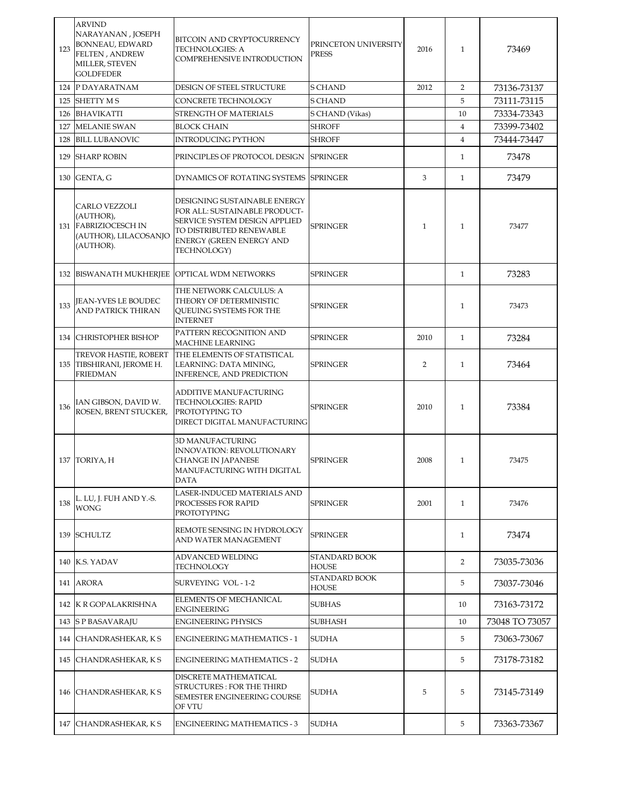| 123 | <b>ARVIND</b><br>NARAYANAN, JOSEPH<br>BONNEAU, EDWARD<br><b>FELTEN, ANDREW</b><br>MILLER, STEVEN<br><b>GOLDFEDER</b> | BITCOIN AND CRYPTOCURRENCY<br><b>TECHNOLOGIES: A</b><br>COMPREHENSIVE INTRODUCTION                                                                                           | PRINCETON UNIVERSITY<br><b>PRESS</b> | 2016           | $\mathbf{1}$   | 73469          |
|-----|----------------------------------------------------------------------------------------------------------------------|------------------------------------------------------------------------------------------------------------------------------------------------------------------------------|--------------------------------------|----------------|----------------|----------------|
|     | 124 P DAYARATNAM                                                                                                     | DESIGN OF STEEL STRUCTURE                                                                                                                                                    | <b>S CHAND</b>                       | 2012           | 2              | 73136-73137    |
| 125 | <b>SHETTY MS</b>                                                                                                     | CONCRETE TECHNOLOGY                                                                                                                                                          | <b>S CHAND</b>                       |                | 5              | 73111-73115    |
|     | 126 BHAVIKATTI                                                                                                       | STRENGTH OF MATERIALS                                                                                                                                                        | S CHAND (Vikas)                      |                | 10             | 73334-73343    |
|     | 127 MELANIE SWAN                                                                                                     | <b>BLOCK CHAIN</b>                                                                                                                                                           | <b>SHROFF</b>                        |                | $\overline{4}$ | 73399-73402    |
| 128 | <b>BILL LUBANOVIC</b>                                                                                                | <b>INTRODUCING PYTHON</b>                                                                                                                                                    | <b>SHROFF</b>                        |                | $\overline{4}$ | 73444-73447    |
|     | 129 SHARP ROBIN                                                                                                      | PRINCIPLES OF PROTOCOL DESIGN                                                                                                                                                | <b>SPRINGER</b>                      |                | $\mathbf{1}$   | 73478          |
|     | 130 GENTA, G                                                                                                         | DYNAMICS OF ROTATING SYSTEMS                                                                                                                                                 | <b>SPRINGER</b>                      | 3              | $\mathbf{1}$   | 73479          |
|     | CARLO VEZZOLI<br>(AUTHOR),<br>131 FABRIZIOCESCH IN<br>(AUTHOR), LILACOSANJO<br>(AUTHOR).                             | DESIGNING SUSTAINABLE ENERGY<br>FOR ALL: SUSTAINABLE PRODUCT-<br>SERVICE SYSTEM DESIGN APPLIED<br>TO DISTRIBUTED RENEWABLE<br><b>ENERGY (GREEN ENERGY AND</b><br>TECHNOLOGY) | <b>SPRINGER</b>                      | $\mathbf{1}$   | $\mathbf{1}$   | 73477          |
|     | <b>132 BISWANATH MUKHERJEE</b>                                                                                       | <b>OPTICAL WDM NETWORKS</b>                                                                                                                                                  | <b>SPRINGER</b>                      |                | $\mathbf{1}$   | 73283          |
| 133 | <b>JEAN-YVES LE BOUDEC</b><br><b>AND PATRICK THIRAN</b>                                                              | THE NETWORK CALCULUS: A<br>THEORY OF DETERMINISTIC<br>QUEUING SYSTEMS FOR THE<br><b>INTERNET</b>                                                                             | <b>SPRINGER</b>                      |                | $\mathbf{1}$   | 73473          |
|     | 134 CHRISTOPHER BISHOP                                                                                               | PATTERN RECOGNITION AND<br><b>MACHINE LEARNING</b>                                                                                                                           | <b>SPRINGER</b>                      | 2010           | $\mathbf{1}$   | 73284          |
|     | TREVOR HASTIE, ROBERT<br>135 TIBSHIRANI, JEROME H.<br><b>FRIEDMAN</b>                                                | THE ELEMENTS OF STATISTICAL<br>LEARNING: DATA MINING,<br><b>INFERENCE, AND PREDICTION</b>                                                                                    | <b>SPRINGER</b>                      | $\overline{2}$ | $\mathbf{1}$   | 73464          |
| 136 | IAN GIBSON, DAVID W.<br>ROSEN, BRENT STUCKER,                                                                        | ADDITIVE MANUFACTURING<br>TECHNOLOGIES: RAPID<br>PROTOTYPING TO<br>DIRECT DIGITAL MANUFACTURING                                                                              | <b>SPRINGER</b>                      | 2010           | $\mathbf{1}$   | 73384          |
|     | 137 TORIYA, H                                                                                                        | <b>3D MANUFACTURING</b><br><b>INNOVATION: REVOLUTIONARY</b><br><b>CHANGE IN JAPANESE</b><br>MANUFACTURING WITH DIGITAL<br><b>DATA</b>                                        | <b>SPRINGER</b>                      | 2008           | $\mathbf{1}$   | 73475          |
| 138 | L. LU, J. FUH AND Y.-S.<br><b>WONG</b>                                                                               | LASER-INDUCED MATERIALS AND<br>PROCESSES FOR RAPID<br>PROTOTYPING                                                                                                            | <b>SPRINGER</b>                      | 2001           | $\mathbf{1}$   | 73476          |
|     | 139 SCHULTZ                                                                                                          | REMOTE SENSING IN HYDROLOGY<br>AND WATER MANAGEMENT                                                                                                                          | <b>SPRINGER</b>                      |                | 1              | 73474          |
|     | 140 K.S. YADAV                                                                                                       | ADVANCED WELDING<br><b>TECHNOLOGY</b>                                                                                                                                        | <b>STANDARD BOOK</b><br><b>HOUSE</b> |                | 2              | 73035-73036    |
|     | 141 ARORA                                                                                                            | <b>SURVEYING VOL-1-2</b>                                                                                                                                                     | <b>STANDARD BOOK</b><br><b>HOUSE</b> |                | 5              | 73037-73046    |
|     | 142 K R GOPALAKRISHNA                                                                                                | ELEMENTS OF MECHANICAL<br><b>ENGINEERING</b>                                                                                                                                 | <b>SUBHAS</b>                        |                | 10             | 73163-73172    |
|     | 143 S P BASAVARAJU                                                                                                   | <b>ENGINEERING PHYSICS</b>                                                                                                                                                   | <b>SUBHASH</b>                       |                | 10             | 73048 TO 73057 |
|     | 144 CHANDRASHEKAR, KS                                                                                                | <b>ENGINEERING MATHEMATICS - 1</b>                                                                                                                                           | <b>SUDHA</b>                         |                | 5              | 73063-73067    |
|     | 145 CHANDRASHEKAR, KS                                                                                                | <b>ENGINEERING MATHEMATICS - 2</b>                                                                                                                                           | <b>SUDHA</b>                         |                | 5              | 73178-73182    |
|     | 146 CHANDRASHEKAR, KS                                                                                                | DISCRETE MATHEMATICAL<br>STRUCTURES : FOR THE THIRD<br><b>SEMESTER ENGINEERING COURSE</b><br>OF VTU                                                                          | <b>SUDHA</b>                         | 5              | 5              | 73145-73149    |
|     | 147 CHANDRASHEKAR, KS                                                                                                | <b>ENGINEERING MATHEMATICS - 3</b>                                                                                                                                           | <b>SUDHA</b>                         |                | 5              | 73363-73367    |